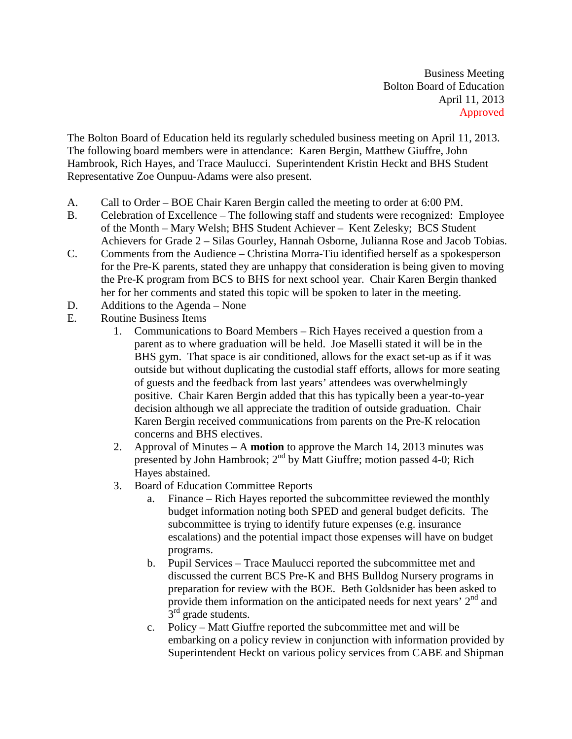Business Meeting Bolton Board of Education April 11, 2013 Approved

The Bolton Board of Education held its regularly scheduled business meeting on April 11, 2013. The following board members were in attendance: Karen Bergin, Matthew Giuffre, John Hambrook, Rich Hayes, and Trace Maulucci. Superintendent Kristin Heckt and BHS Student Representative Zoe Ounpuu-Adams were also present.

- A. Call to Order BOE Chair Karen Bergin called the meeting to order at 6:00 PM.
- B. Celebration of Excellence The following staff and students were recognized: Employee of the Month – Mary Welsh; BHS Student Achiever – Kent Zelesky; BCS Student Achievers for Grade 2 – Silas Gourley, Hannah Osborne, Julianna Rose and Jacob Tobias.
- C. Comments from the Audience Christina Morra-Tiu identified herself as a spokesperson for the Pre-K parents, stated they are unhappy that consideration is being given to moving the Pre-K program from BCS to BHS for next school year. Chair Karen Bergin thanked her for her comments and stated this topic will be spoken to later in the meeting.
- D. Additions to the Agenda None
- E. Routine Business Items
	- 1. Communications to Board Members Rich Hayes received a question from a parent as to where graduation will be held. Joe Maselli stated it will be in the BHS gym. That space is air conditioned, allows for the exact set-up as if it was outside but without duplicating the custodial staff efforts, allows for more seating of guests and the feedback from last years' attendees was overwhelmingly positive. Chair Karen Bergin added that this has typically been a year-to-year decision although we all appreciate the tradition of outside graduation. Chair Karen Bergin received communications from parents on the Pre-K relocation concerns and BHS electives.
	- 2. Approval of Minutes A **motion** to approve the March 14, 2013 minutes was presented by John Hambrook;  $2<sup>nd</sup>$  by Matt Giuffre; motion passed 4-0; Rich Hayes abstained.
	- 3. Board of Education Committee Reports
		- a. Finance Rich Hayes reported the subcommittee reviewed the monthly budget information noting both SPED and general budget deficits. The subcommittee is trying to identify future expenses (e.g. insurance escalations) and the potential impact those expenses will have on budget programs.
		- b. Pupil Services Trace Maulucci reported the subcommittee met and discussed the current BCS Pre-K and BHS Bulldog Nursery programs in preparation for review with the BOE. Beth Goldsnider has been asked to provide them information on the anticipated needs for next years'  $2<sup>nd</sup>$  and  $3<sup>rd</sup>$  grade students.
		- c. Policy Matt Giuffre reported the subcommittee met and will be embarking on a policy review in conjunction with information provided by Superintendent Heckt on various policy services from CABE and Shipman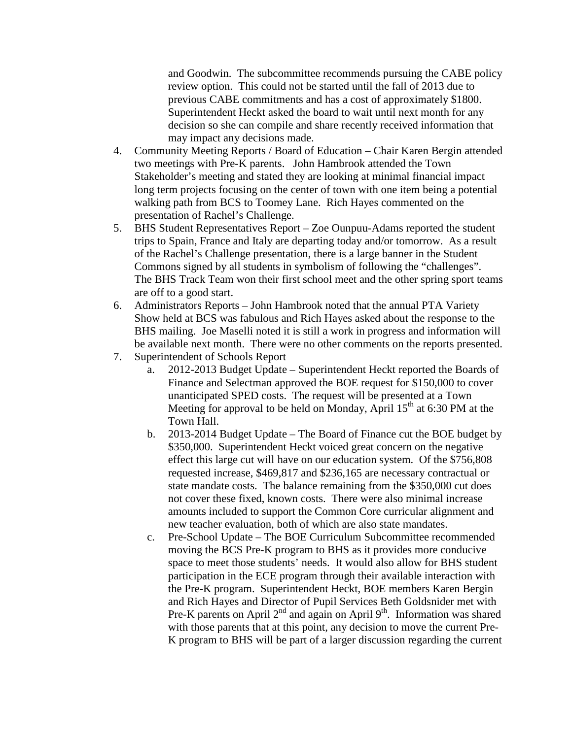and Goodwin. The subcommittee recommends pursuing the CABE policy review option. This could not be started until the fall of 2013 due to previous CABE commitments and has a cost of approximately \$1800. Superintendent Heckt asked the board to wait until next month for any decision so she can compile and share recently received information that may impact any decisions made.

- 4. Community Meeting Reports / Board of Education Chair Karen Bergin attended two meetings with Pre-K parents. John Hambrook attended the Town Stakeholder's meeting and stated they are looking at minimal financial impact long term projects focusing on the center of town with one item being a potential walking path from BCS to Toomey Lane. Rich Hayes commented on the presentation of Rachel's Challenge.
- 5. BHS Student Representatives Report Zoe Ounpuu-Adams reported the student trips to Spain, France and Italy are departing today and/or tomorrow. As a result of the Rachel's Challenge presentation, there is a large banner in the Student Commons signed by all students in symbolism of following the "challenges". The BHS Track Team won their first school meet and the other spring sport teams are off to a good start.
- 6. Administrators Reports John Hambrook noted that the annual PTA Variety Show held at BCS was fabulous and Rich Hayes asked about the response to the BHS mailing. Joe Maselli noted it is still a work in progress and information will be available next month. There were no other comments on the reports presented.
- 7. Superintendent of Schools Report
	- a. 2012-2013 Budget Update Superintendent Heckt reported the Boards of Finance and Selectman approved the BOE request for \$150,000 to cover unanticipated SPED costs. The request will be presented at a Town Meeting for approval to be held on Monday, April  $15<sup>th</sup>$  at 6:30 PM at the Town Hall.
	- b. 2013-2014 Budget Update The Board of Finance cut the BOE budget by \$350,000. Superintendent Heckt voiced great concern on the negative effect this large cut will have on our education system. Of the \$756,808 requested increase, \$469,817 and \$236,165 are necessary contractual or state mandate costs. The balance remaining from the \$350,000 cut does not cover these fixed, known costs. There were also minimal increase amounts included to support the Common Core curricular alignment and new teacher evaluation, both of which are also state mandates.
	- c. Pre-School Update The BOE Curriculum Subcommittee recommended moving the BCS Pre-K program to BHS as it provides more conducive space to meet those students' needs. It would also allow for BHS student participation in the ECE program through their available interaction with the Pre-K program. Superintendent Heckt, BOE members Karen Bergin and Rich Hayes and Director of Pupil Services Beth Goldsnider met with Pre-K parents on April  $2<sup>nd</sup>$  and again on April  $9<sup>th</sup>$ . Information was shared with those parents that at this point, any decision to move the current Pre-K program to BHS will be part of a larger discussion regarding the current